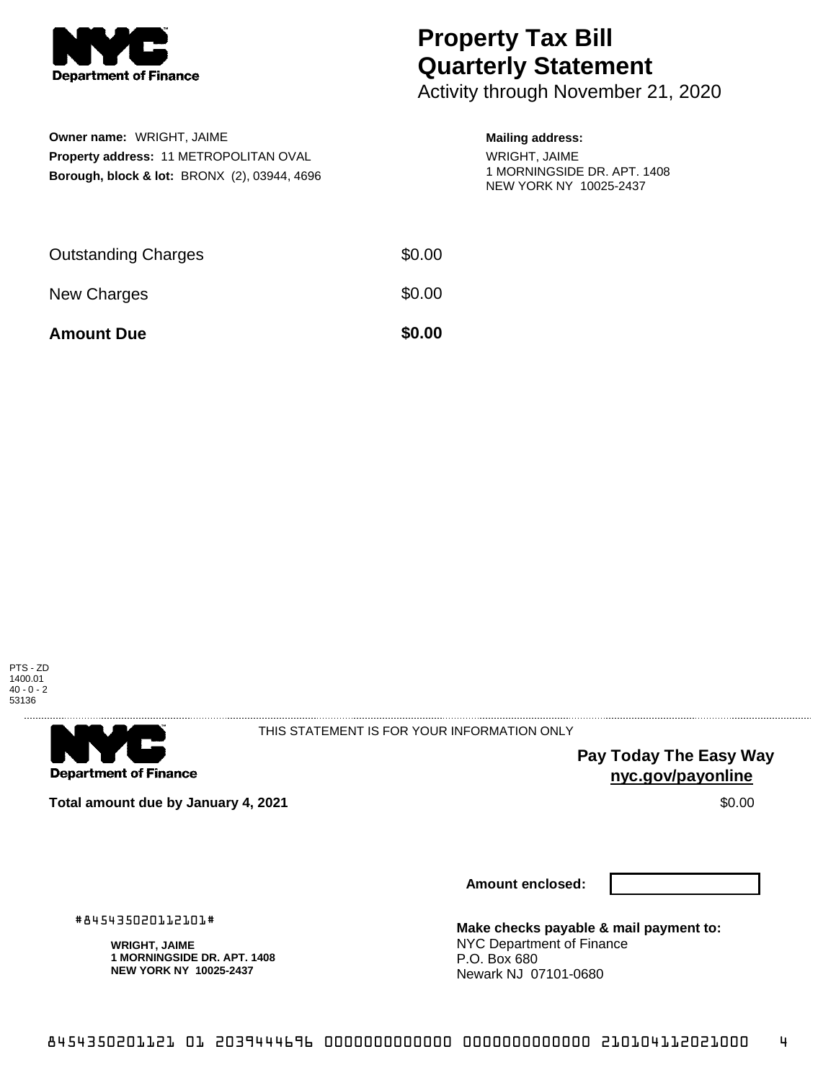

**Owner name:** WRIGHT, JAIME

**Property address:** 11 METROPOLITAN OVAL **Borough, block & lot:** BRONX (2), 03944, 4696

## **Property Tax Bill Quarterly Statement**

Activity through November 21, 2020

## **Mailing address:**

WRIGHT, JAIME 1 MORNINGSIDE DR. APT. 1408 NEW YORK NY 10025-2437

| <b>Amount Due</b>          | \$0.00 |
|----------------------------|--------|
| New Charges                | \$0.00 |
| <b>Outstanding Charges</b> | \$0.00 |





THIS STATEMENT IS FOR YOUR INFORMATION ONLY

**Pay Today The Easy Way nyc.gov/payonline**

**Total amount due by January 4, 2021** \$0.00

**Amount enclosed:**

#845435020112101#

**WRIGHT, JAIME 1 MORNINGSIDE DR. APT. 1408 NEW YORK NY 10025-2437**

**Make checks payable & mail payment to:** NYC Department of Finance P.O. Box 680 Newark NJ 07101-0680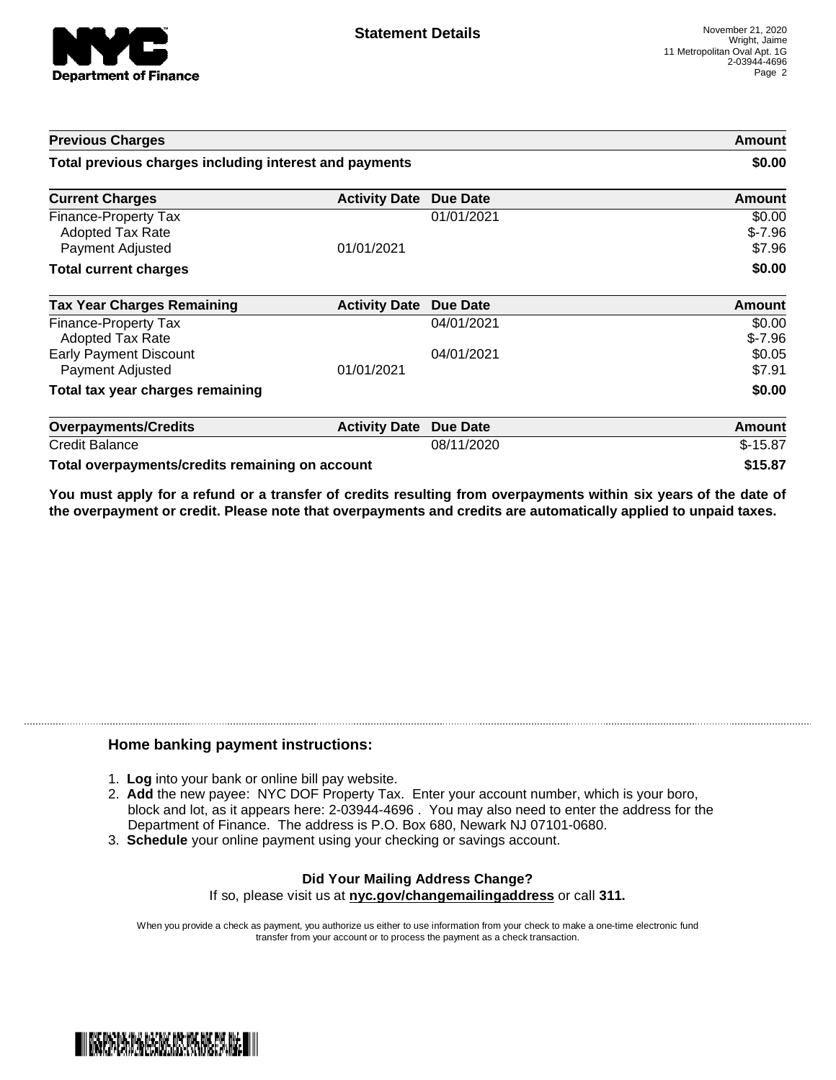

| <b>Previous Charges</b>                                             |                      |                 | Amount                       |
|---------------------------------------------------------------------|----------------------|-----------------|------------------------------|
| Total previous charges including interest and payments              |                      |                 | \$0.00                       |
| <b>Current Charges</b>                                              | <b>Activity Date</b> | Due Date        | Amount                       |
| Finance-Property Tax<br><b>Adopted Tax Rate</b><br>Payment Adjusted | 01/01/2021           | 01/01/2021      | \$0.00<br>$$-7.96$<br>\$7.96 |
| <b>Total current charges</b>                                        |                      |                 | \$0.00                       |
| <b>Tax Year Charges Remaining</b>                                   | <b>Activity Date</b> | <b>Due Date</b> | <b>Amount</b>                |
| <b>Finance-Property Tax</b><br><b>Adopted Tax Rate</b>              |                      | 04/01/2021      | \$0.00<br>$$-7.96$           |
| <b>Early Payment Discount</b><br>Payment Adjusted                   | 01/01/2021           | 04/01/2021      | \$0.05<br>\$7.91             |
| Total tax year charges remaining                                    |                      |                 | \$0.00                       |
| <b>Overpayments/Credits</b>                                         | <b>Activity Date</b> | <b>Due Date</b> | <b>Amount</b>                |
| <b>Credit Balance</b>                                               |                      | 08/11/2020      | $$-15.87$                    |
| Total overpayments/credits remaining on account                     |                      |                 | \$15.87                      |

You must apply for a refund or a transfer of credits resulting from overpayments within six years of the date of **the overpayment or credit. Please note that overpayments and credits are automatically applied to unpaid taxes.**

## **Home banking payment instructions:**

- 1. **Log** into your bank or online bill pay website.
- 2. **Add** the new payee: NYC DOF Property Tax. Enter your account number, which is your boro, block and lot, as it appears here: 2-03944-4696 . You may also need to enter the address for the Department of Finance. The address is P.O. Box 680, Newark NJ 07101-0680.
- 3. **Schedule** your online payment using your checking or savings account.

## **Did Your Mailing Address Change?** If so, please visit us at **nyc.gov/changemailingaddress** or call **311.**

When you provide a check as payment, you authorize us either to use information from your check to make a one-time electronic fund transfer from your account or to process the payment as a check transaction.